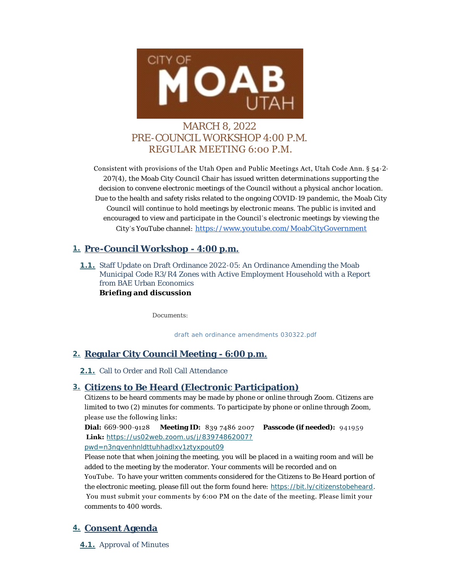

# MARCH 8, 2022 PRE-COUNCIL WORKSHOP 4:00 P.M. REGULAR MEETING 6:00 P.M.

Consistent with provisions of the Utah Open and Public Meetings Act, Utah Code Ann. § 54-2- 207(4), the Moab City Council Chair has issued written determinations supporting the decision to convene electronic meetings of the Council without a physical anchor location. Due to the health and safety risks related to the ongoing COVID-19 pandemic, the Moab City Council will continue to hold meetings by electronic means. The public is invited and encouraged to view and participate in the Council's electronic meetings by viewing the City 's YouTube channel: [https://www.youtube.com/MoabCityGovernment](https://www.youtube.com/c/MoabCityGovernment)

## **Pre-Council Workshop - 4:00 p.m. 1.**

**1.1.** Staff Update on Draft Ordinance 2022-05: An Ordinance Amending the Moab Municipal Code R3/R4 Zones with Active Employment Household with a Report from BAE Urban Economics **Briefing and discussion**

*Documents:*

*[draft aeh ordinance amendments 030322.pdf](https://moabcity.org/AgendaCenter/ViewFile/Item/4699?fileID=5671)*

## **Regular City Council Meeting - 6:00 p.m. 2.**

2.1. Call to Order and Roll Call Attendance

## **Citizens to Be Heard (Electronic Participation) 3.**

Citizens to be heard comments may be made by phone or online through Zoom. Citizens are limited to two (2) minutes for comments. To participate by phone or online through Zoom, please use the following links:

**Dial:** 669-900-9128 **Meeting ID:** 839 7486 2007 **Passcode (if needed):** 941959  **Link:** *[https://us02web.zoom.us/j/83974862007?](https://us02web.zoom.us/j/83974862007?pwd=N3NQVENHNldtTUhhaDlxV1ZTYXpoUT09)*

*pwd=n3nqvenhnldttuhhadlxv1ztyxpout09*

Please note that when joining the meeting, you will be placed in a waiting room and will be added to the meeting by the moderator. Your comments will be recorded and on YouTube. To have your written comments considered for the Citizens to Be Heard portion of the electronic meeting, please fill out the form found here: *<https://bit.ly/citizenstobeheard>*. You must submit your comments by 6:00 PM on the date of the meeting. Please limit your comments to 400 words.

## **Consent Agenda 4.**

**4.1.** Approval of Minutes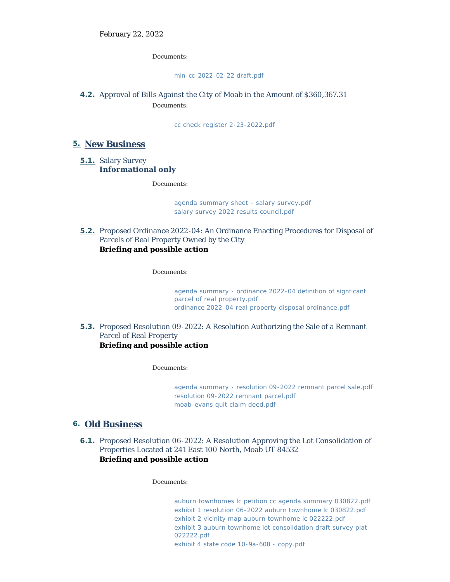*Documents:*

#### *[min-cc-2022-02-22 draft.pdf](https://moabcity.org/AgendaCenter/ViewFile/Item/4691?fileID=5649)*

### **4.2.** Approval of Bills Against the City of Moab in the Amount of \$360,367.31 *Documents:*

*[cc check register 2-23-2022.pdf](https://moabcity.org/AgendaCenter/ViewFile/Item/4692?fileID=5650)*

### **New Business 5.**

5.1. Salary Survey **Informational only**

*Documents:*

*[agenda summary sheet - salary survey.pdf](https://moabcity.org/AgendaCenter/ViewFile/Item/4704?fileID=5676) [salary survey 2022 results council.pdf](https://moabcity.org/AgendaCenter/ViewFile/Item/4704?fileID=5677)*

**5.2.** Proposed Ordinance 2022-04: An Ordinance Enacting Procedures for Disposal of Parcels of Real Property Owned by the City **Briefing and possible action**

*Documents:*

*[agenda summary - ordinance 2022-04 definition of signficant](https://moabcity.org/AgendaCenter/ViewFile/Item/4695?fileID=5656)  parcel of real property.pdf [ordinance 2022-04 real property disposal ordinance.pdf](https://moabcity.org/AgendaCenter/ViewFile/Item/4695?fileID=5657)*

**5.3.** Proposed Resolution 09-2022: A Resolution Authorizing the Sale of a Remnant Parcel of Real Property **Briefing and possible action**

*Documents:*

*[agenda summary - resolution 09-2022 remnant parcel sale.pdf](https://moabcity.org/AgendaCenter/ViewFile/Item/4696?fileID=5658) [resolution 09-2022 remnant parcel.pdf](https://moabcity.org/AgendaCenter/ViewFile/Item/4696?fileID=5659) [moab-evans quit claim deed.pdf](https://moabcity.org/AgendaCenter/ViewFile/Item/4696?fileID=5660)*

## **Old Business 6.**

6.1. Proposed Resolution 06-2022: A Resolution Approving the Lot Consolidation of Properties Located at 241 East 100 North, Moab UT 84532 **Briefing and possible action**

*Documents:*

*[auburn townhomes lc petition cc agenda summary 030822.pdf](https://moabcity.org/AgendaCenter/ViewFile/Item/4697?fileID=5661) [exhibit 1 resolution 06-2022 auburn townhome lc 030822.pdf](https://moabcity.org/AgendaCenter/ViewFile/Item/4697?fileID=5662) [exhibit 2 vicinity map auburn townhome lc 022222.pdf](https://moabcity.org/AgendaCenter/ViewFile/Item/4697?fileID=5663) [exhibit 3 auburn townhome lot consolidation draft survey plat](https://moabcity.org/AgendaCenter/ViewFile/Item/4697?fileID=5664)  022222.pdf [exhibit 4 state code 10-9a-608 - copy.pdf](https://moabcity.org/AgendaCenter/ViewFile/Item/4697?fileID=5665)*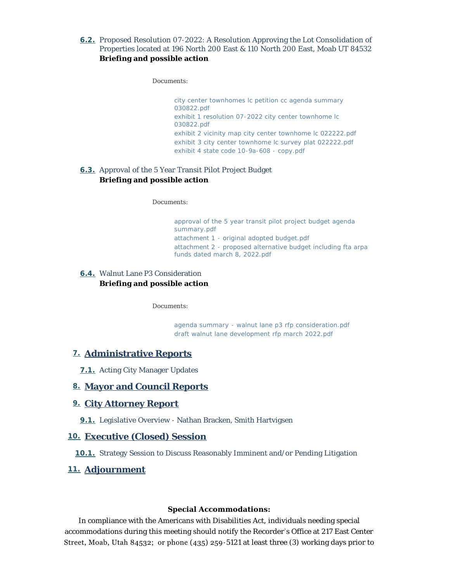#### 6.2. Proposed Resolution 07-2022: A Resolution Approving the Lot Consolidation of Properties located at 196 North 200 East & 110 North 200 East, Moab UT 84532 **Briefing and possible action**

*Documents:*

*[city center townhomes lc petition cc agenda summary](https://moabcity.org/AgendaCenter/ViewFile/Item/4698?fileID=5666)  030822.pdf [exhibit 1 resolution 07-2022 city center townhome lc](https://moabcity.org/AgendaCenter/ViewFile/Item/4698?fileID=5667)  030822.pdf [exhibit 2 vicinity map city center townhome lc 022222.pdf](https://moabcity.org/AgendaCenter/ViewFile/Item/4698?fileID=5668) [exhibit 3 city center townhome lc survey plat 022222.pdf](https://moabcity.org/AgendaCenter/ViewFile/Item/4698?fileID=5669) [exhibit 4 state code 10-9a-608 - copy.pdf](https://moabcity.org/AgendaCenter/ViewFile/Item/4698?fileID=5670)*

### **6.3.** Approval of the 5 Year Transit Pilot Project Budget **Briefing and possible action**

*Documents:*

*[approval of the 5 year transit pilot project budget agenda](https://moabcity.org/AgendaCenter/ViewFile/Item/4693?fileID=5651)  summary.pdf [attachment 1 - original adopted budget.pdf](https://moabcity.org/AgendaCenter/ViewFile/Item/4693?fileID=5652) [attachment 2 - proposed alternative budget including fta arpa](https://moabcity.org/AgendaCenter/ViewFile/Item/4693?fileID=5653)  funds dated march 8, 2022.pdf*

#### Walnut Lane P3 Consideration **6.4. Briefing and possible action**

*Documents:*

*[agenda summary - walnut lane p3 rfp consideration.pdf](https://moabcity.org/AgendaCenter/ViewFile/Item/4694?fileID=5654) [draft walnut lane development rfp march 2022.pdf](https://moabcity.org/AgendaCenter/ViewFile/Item/4694?fileID=5655)*

### **Administrative Reports 7.**

**7.1.** Acting City Manager Updates

### **Mayor and Council Reports 8.**

#### **City Attorney Report 9.**

**9.1.** Legislative Overview - Nathan Bracken, Smith Hartvigsen

#### **Executive (Closed) Session 10.**

10.1. Strategy Session to Discuss Reasonably Imminent and/or Pending Litigation

#### **Adjournment 11.**

#### **Special Accommodations:**

In compliance with the Americans with Disabilities Act, individuals needing special accommodations during this meeting should notify the Recorder 's Office at 217 East Center Street, Moab, Utah 84532; or phone (435) 259-5121 at least three (3) working days prior to